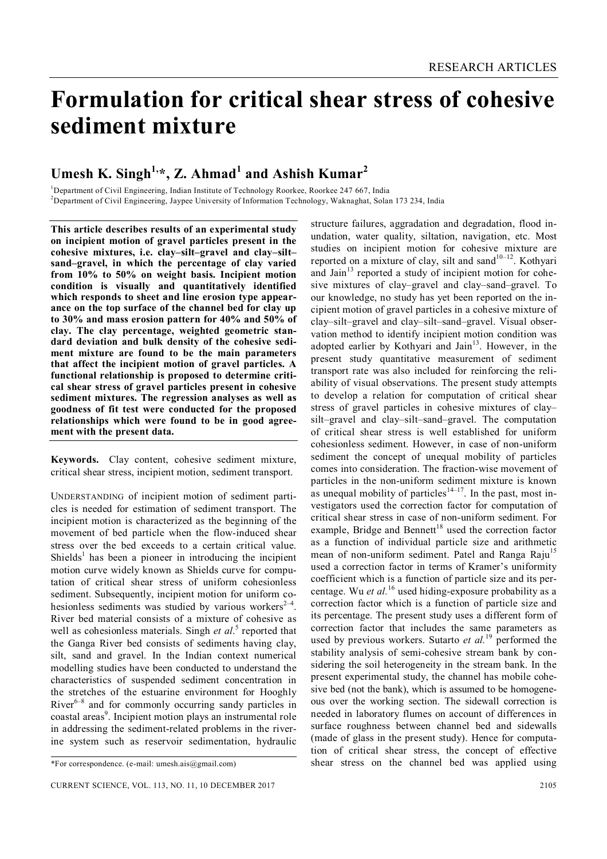# **Formulation for critical shear stress of cohesive sediment mixture**

# **Umesh K. Singh1,\*, Z. Ahmad<sup>1</sup> and Ashish Kumar<sup>2</sup>**

 $1$ Department of Civil Engineering, Indian Institute of Technology Roorkee, Roorkee 247 667, India <sup>2</sup>Department of Civil Engineering, Jaypee University of Information Technology, Waknaghat, Solan 173 234, India

**This article describes results of an experimental study on incipient motion of gravel particles present in the cohesive mixtures, i.e. clay–silt–gravel and clay–silt– sand–gravel, in which the percentage of clay varied from 10% to 50% on weight basis. Incipient motion condition is visually and quantitatively identified which responds to sheet and line erosion type appearance on the top surface of the channel bed for clay up to 30% and mass erosion pattern for 40% and 50% of clay. The clay percentage, weighted geometric standard deviation and bulk density of the cohesive sediment mixture are found to be the main parameters that affect the incipient motion of gravel particles. A functional relationship is proposed to determine critical shear stress of gravel particles present in cohesive sediment mixtures. The regression analyses as well as goodness of fit test were conducted for the proposed relationships which were found to be in good agreement with the present data.**

**Keywords.** Clay content, cohesive sediment mixture, critical shear stress, incipient motion, sediment transport.

UNDERSTANDING of incipient motion of sediment particles is needed for estimation of sediment transport. The incipient motion is characterized as the beginning of the movement of bed particle when the flow-induced shear stress over the bed exceeds to a certain critical value. Shields<sup>1</sup> has been a pioneer in introducing the incipient motion curve widely known as Shields curve for computation of critical shear stress of uniform cohesionless sediment. Subsequently, incipient motion for uniform cohesionless sediments was studied by various workers $2-4$ . River bed material consists of a mixture of cohesive as well as cohesionless materials. Singh *et al.*<sup>5</sup> reported that the Ganga River bed consists of sediments having clay, silt, sand and gravel. In the Indian context numerical modelling studies have been conducted to understand the characteristics of suspended sediment concentration in the stretches of the estuarine environment for Hooghly River<sup>6-8</sup> and for commonly occurring sandy particles in coastal areas<sup>9</sup>. Incipient motion plays an instrumental role in addressing the sediment-related problems in the riverine system such as reservoir sedimentation, hydraulic

structure failures, aggradation and degradation, flood inundation, water quality, siltation, navigation, etc. Most studies on incipient motion for cohesive mixture are reported on a mixture of clay, silt and sand $10^{-12}$ . Kothyari and Jain $13$  reported a study of incipient motion for cohesive mixtures of clay–gravel and clay–sand–gravel. To our knowledge, no study has yet been reported on the incipient motion of gravel particles in a cohesive mixture of clay–silt–gravel and clay–silt–sand–gravel. Visual observation method to identify incipient motion condition was adopted earlier by Kothyari and Jain<sup>13</sup>. However, in the present study quantitative measurement of sediment transport rate was also included for reinforcing the reliability of visual observations. The present study attempts to develop a relation for computation of critical shear stress of gravel particles in cohesive mixtures of clay– silt–gravel and clay–silt–sand–gravel. The computation of critical shear stress is well established for uniform cohesionless sediment. However, in case of non-uniform sediment the concept of unequal mobility of particles comes into consideration. The fraction-wise movement of particles in the non-uniform sediment mixture is known as unequal mobility of particles<sup> $14–17$ </sup>. In the past, most investigators used the correction factor for computation of critical shear stress in case of non-uniform sediment. For example. Bridge and Bennett<sup>18</sup> used the correction factor as a function of individual particle size and arithmetic mean of non-uniform sediment. Patel and Ranga Raju<sup>15</sup> used a correction factor in terms of Kramer's uniformity coefficient which is a function of particle size and its percentage. Wu *et al.*<sup>16</sup> used hiding-exposure probability as a correction factor which is a function of particle size and its percentage. The present study uses a different form of correction factor that includes the same parameters as used by previous workers. Sutarto *et al.*<sup>19</sup> performed the stability analysis of semi-cohesive stream bank by considering the soil heterogeneity in the stream bank. In the present experimental study, the channel has mobile cohesive bed (not the bank), which is assumed to be homogeneous over the working section. The sidewall correction is needed in laboratory flumes on account of differences in surface roughness between channel bed and sidewalls (made of glass in the present study). Hence for computation of critical shear stress, the concept of effective shear stress on the channel bed was applied using

<sup>\*</sup>For correspondence. (e-mail: umesh.ais@gmail.com)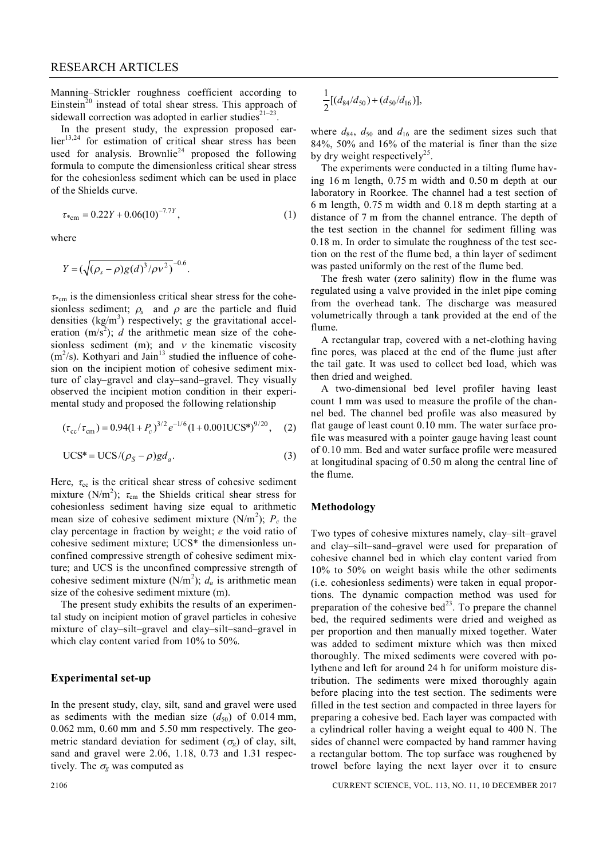Manning–Strickler roughness coefficient according to Einstein<sup>20</sup> instead of total shear stress. This approach of sidewall correction was adopted in earlier studies $2^{1-23}$ .

In the present study, the expression proposed ear- $\text{lier}^{13,24}$  for estimation of critical shear stress has been used for analysis. Brownlie<sup>24</sup> proposed the following formula to compute the dimensionless critical shear stress for the cohesionless sediment which can be used in place of the Shields curve.

$$
\tau_{*_{\text{cm}}} = 0.22Y + 0.06(10)^{-7.7Y},\tag{1}
$$

where

$$
Y = (\sqrt{(\rho_s - \rho)g(d)^3/\rho v^2})^{-0.6}.
$$

 $\tau_{\rm g}$  is the dimensionless critical shear stress for the cohesionless sediment;  $\rho_s$  and  $\rho$  are the particle and fluid densities (kg/m<sup>3</sup>) respectively; *g* the gravitational acceleration  $(m/s<sup>2</sup>)$ ; *d* the arithmetic mean size of the cohesionless sediment (m); and  $v$  the kinematic viscosity  $(m<sup>2</sup>/s)$ . Kothyari and Jain<sup>13</sup> studied the influence of cohesion on the incipient motion of cohesive sediment mixture of clay–gravel and clay–sand–gravel. They visually observed the incipient motion condition in their experimental study and proposed the following relationship

$$
(\tau_{\rm cc}/\tau_{\rm cm}) = 0.94(1+P_c)^{3/2} e^{-1/6} (1+0.001 \text{UCS*})^{9/20}, \quad (2)
$$

$$
UCS^* = UCS/(\rho_S - \rho)gd_a.
$$
 (3)

Here,  $\tau_{\rm cc}$  is the critical shear stress of cohesive sediment mixture (N/m<sup>2</sup>);  $\tau_{cm}$  the Shields critical shear stress for cohesionless sediment having size equal to arithmetic mean size of cohesive sediment mixture  $(N/m^2)$ ;  $P_c$  the clay percentage in fraction by weight; *e* the void ratio of cohesive sediment mixture; UCS\* the dimensionless unconfined compressive strength of cohesive sediment mixture; and UCS is the unconfined compressive strength of cohesive sediment mixture  $(N/m^2)$ ;  $d_a$  is arithmetic mean size of the cohesive sediment mixture (m).

The present study exhibits the results of an experimental study on incipient motion of gravel particles in cohesive mixture of clay–silt–gravel and clay–silt–sand–gravel in which clay content varied from 10% to 50%.

#### **Experimental set-up**

In the present study, clay, silt, sand and gravel were used as sediments with the median size  $(d_{50})$  of 0.014 mm, 0.062 mm, 0.60 mm and 5.50 mm respectively. The geometric standard deviation for sediment ( $\sigma_g$ ) of clay, silt, sand and gravel were 2.06, 1.18, 0.73 and 1.31 respectively. The  $\sigma_{\rm g}$  was computed as

$$
\frac{1}{2}[(d_{84}/d_{50})+(d_{50}/d_{16})],
$$

where  $d_{84}$ ,  $d_{50}$  and  $d_{16}$  are the sediment sizes such that 84%, 50% and 16% of the material is finer than the size by dry weight respectively<sup>25</sup>.

The experiments were conducted in a tilting flume having 16 m length, 0.75 m width and 0.50 m depth at our laboratory in Roorkee. The channel had a test section of 6 m length, 0.75 m width and 0.18 m depth starting at a distance of 7 m from the channel entrance. The depth of the test section in the channel for sediment filling was 0.18 m. In order to simulate the roughness of the test section on the rest of the flume bed, a thin layer of sediment was pasted uniformly on the rest of the flume bed.

The fresh water (zero salinity) flow in the flume was regulated using a valve provided in the inlet pipe coming from the overhead tank. The discharge was measured volumetrically through a tank provided at the end of the flume.

A rectangular trap, covered with a net-clothing having fine pores, was placed at the end of the flume just after the tail gate. It was used to collect bed load, which was then dried and weighed.

A two-dimensional bed level profiler having least count 1 mm was used to measure the profile of the channel bed. The channel bed profile was also measured by flat gauge of least count 0.10 mm. The water surface profile was measured with a pointer gauge having least count of 0.10 mm. Bed and water surface profile were measured at longitudinal spacing of 0.50 m along the central line of the flume.

# **Methodology**

Two types of cohesive mixtures namely, clay–silt–gravel and clay–silt–sand–gravel were used for preparation of cohesive channel bed in which clay content varied from 10% to 50% on weight basis while the other sediments (i.e. cohesionless sediments) were taken in equal proportions. The dynamic compaction method was used for preparation of the cohesive bed $^{23}$ . To prepare the channel bed, the required sediments were dried and weighed as per proportion and then manually mixed together. Water was added to sediment mixture which was then mixed thoroughly. The mixed sediments were covered with polythene and left for around 24 h for uniform moisture distribution. The sediments were mixed thoroughly again before placing into the test section. The sediments were filled in the test section and compacted in three layers for preparing a cohesive bed. Each layer was compacted with a cylindrical roller having a weight equal to 400 N. The sides of channel were compacted by hand rammer having a rectangular bottom. The top surface was roughened by trowel before laying the next layer over it to ensure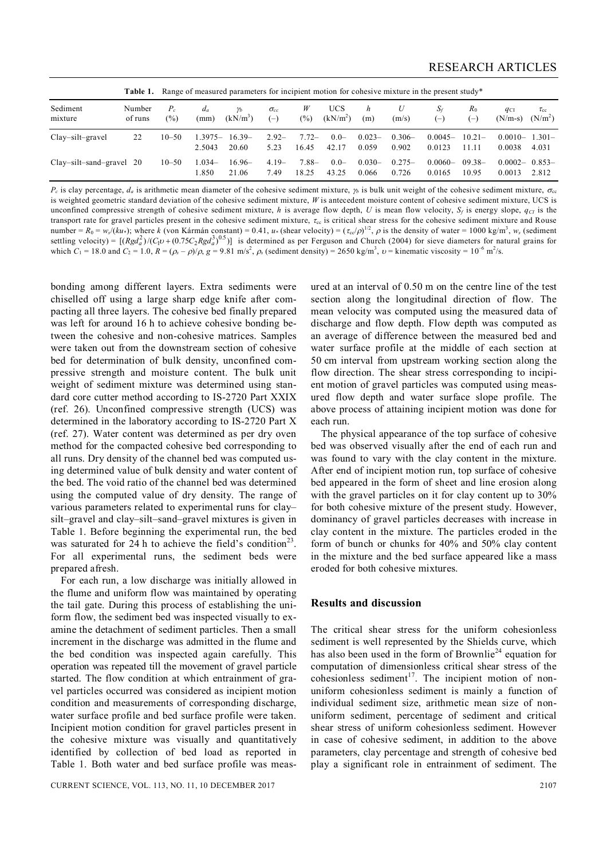|                            | Table 1.          |                 |                   | Range of measured parameters for incipient motion for cohesive mixture in the present study* |                        |                  |                                    |                    |                   |                     |                    |                              |                              |
|----------------------------|-------------------|-----------------|-------------------|----------------------------------------------------------------------------------------------|------------------------|------------------|------------------------------------|--------------------|-------------------|---------------------|--------------------|------------------------------|------------------------------|
| Sediment<br>mixture        | Number<br>of runs | $P_c$<br>$(\%)$ | $d_a$<br>(mm)     | $\gamma_b$<br>$(kN/m^3)$                                                                     | $\sigma_{cc}$<br>$(-)$ | W<br>(%)         | <b>UCS</b><br>(kN/m <sup>2</sup> ) | h<br>(m)           | U<br>(m/s)        | $S_f$<br>$(-)$      | $R_0$<br>$(-)$     | $q_{\text{Cl}}$<br>$(N/m-s)$ | $\tau_{\rm cc}$<br>$(N/m^2)$ |
| $Clav-silt-gravel$         | 22                | $10 - 50$       | 1.3975–<br>2.5043 | $16.39-$<br>20.60                                                                            | $2.92-$<br>5.23        | $7.72-$<br>16.45 | $0.0-$<br>42.17                    | $0.023 -$<br>0.059 | $0.306-$<br>0.902 | $0.0045-$<br>0.0123 | $10.21-$<br>11.11  | $0.0010-$<br>0.0038          | $1.301-$<br>4.031            |
| $Clav-silt-sand-gravel$ 20 |                   | $10 - 50$       | $0.034-$<br>.850  | 16.96–<br>21.06                                                                              | $4.19-$<br>7.49        | $7.88-$<br>18.25 | $0.0-$<br>43.25                    | $0.030-$<br>0.066  | $0.275-$<br>0.726 | $0.0060-$<br>0.0165 | $09.38 -$<br>10.95 | $0.0002 -$<br>0.0013         | $0.853-$<br>2.812            |

 $P_c$  is clay percentage,  $d_a$  is arithmetic mean diameter of the cohesive sediment mixture,  $\gamma_b$  is bulk unit weight of the cohesive sediment mixture,  $\sigma_{cc}$ is weighted geometric standard deviation of the cohesive sediment mixture, *W* is antecedent moisture content of cohesive sediment mixture, UCS is unconfined compressive strength of cohesive sediment mixture, *h* is average flow depth, *U* is mean flow velocity,  $S_f$  is energy slope,  $q_{C}$  is the transport rate for gravel particles present in the cohesive sediment mixture,  $\tau_{cc}$  is critical shear stress for the cohesive sediment mixture and Rouse number =  $R_0 = w_s/(ku_*)$ ; where *k* (von Kármán constant) = 0.41, *u*\* (shear velocity) =  $(\tau_{cc}/\rho)^{1/2}$ ,  $\rho$  is the density of water = 1000 kg/m<sup>3</sup>,  $w_s$  (sediment settling velocity) =  $[(Rgd_a^2)/(C_1v + (0.75C_2Rgd_a^3)^{0.5})]$  is determined as per Ferguson and Church (2004) for sieve diameters for natural grains for which  $C_1 = 18.0$  and  $C_2 = 1.0$ ,  $R = (\rho_s - \rho)/\rho$ ,  $g = 9.81$  m/s<sup>2</sup>,  $\rho_s$  (sediment density) = 2650 kg/m<sup>3</sup>,  $v =$  kinematic viscosity = 10<sup>-6</sup> m<sup>2</sup>/s.

bonding among different layers. Extra sediments were chiselled off using a large sharp edge knife after compacting all three layers. The cohesive bed finally prepared was left for around 16 h to achieve cohesive bonding between the cohesive and non-cohesive matrices. Samples were taken out from the downstream section of cohesive bed for determination of bulk density, unconfined compressive strength and moisture content. The bulk unit weight of sediment mixture was determined using standard core cutter method according to IS-2720 Part XXIX (ref. 26). Unconfined compressive strength (UCS) was determined in the laboratory according to IS-2720 Part X (ref. 27). Water content was determined as per dry oven method for the compacted cohesive bed corresponding to all runs. Dry density of the channel bed was computed using determined value of bulk density and water content of the bed. The void ratio of the channel bed was determined using the computed value of dry density. The range of various parameters related to experimental runs for clay– silt–gravel and clay–silt–sand–gravel mixtures is given in Table 1. Before beginning the experimental run, the bed was saturated for 24 h to achieve the field's condition<sup>23</sup>. For all experimental runs, the sediment beds were prepared afresh.

For each run, a low discharge was initially allowed in the flume and uniform flow was maintained by operating the tail gate. During this process of establishing the uniform flow, the sediment bed was inspected visually to examine the detachment of sediment particles. Then a small increment in the discharge was admitted in the flume and the bed condition was inspected again carefully. This operation was repeated till the movement of gravel particle started. The flow condition at which entrainment of gravel particles occurred was considered as incipient motion condition and measurements of corresponding discharge, water surface profile and bed surface profile were taken. Incipient motion condition for gravel particles present in the cohesive mixture was visually and quantitatively identified by collection of bed load as reported in Table 1. Both water and bed surface profile was meas-

CURRENT SCIENCE, VOL. 113, NO. 11, 10 DECEMBER 2017 2107

ured at an interval of 0.50 m on the centre line of the test section along the longitudinal direction of flow. The mean velocity was computed using the measured data of discharge and flow depth. Flow depth was computed as an average of difference between the measured bed and water surface profile at the middle of each section at 50 cm interval from upstream working section along the flow direction. The shear stress corresponding to incipient motion of gravel particles was computed using measured flow depth and water surface slope profile. The above process of attaining incipient motion was done for each run.

The physical appearance of the top surface of cohesive bed was observed visually after the end of each run and was found to vary with the clay content in the mixture. After end of incipient motion run, top surface of cohesive bed appeared in the form of sheet and line erosion along with the gravel particles on it for clay content up to 30% for both cohesive mixture of the present study. However, dominancy of gravel particles decreases with increase in clay content in the mixture. The particles eroded in the form of bunch or chunks for 40% and 50% clay content in the mixture and the bed surface appeared like a mass eroded for both cohesive mixtures.

#### **Results and discussion**

The critical shear stress for the uniform cohesionless sediment is well represented by the Shields curve, which has also been used in the form of Brownlie<sup>24</sup> equation for computation of dimensionless critical shear stress of the cohesionless sediment<sup>17</sup>. The incipient motion of nonuniform cohesionless sediment is mainly a function of individual sediment size, arithmetic mean size of nonuniform sediment, percentage of sediment and critical shear stress of uniform cohesionless sediment. However in case of cohesive sediment, in addition to the above parameters, clay percentage and strength of cohesive bed play a significant role in entrainment of sediment. The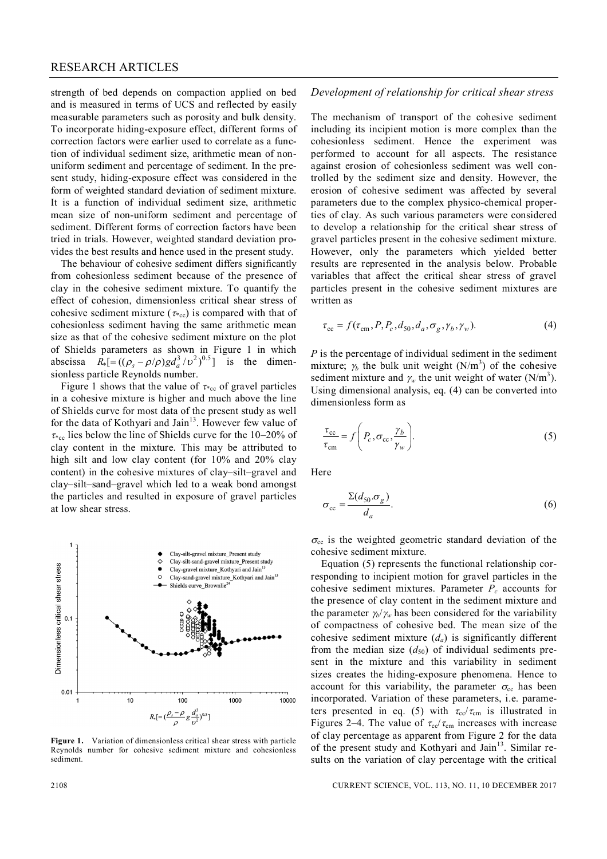strength of bed depends on compaction applied on bed and is measured in terms of UCS and reflected by easily measurable parameters such as porosity and bulk density. To incorporate hiding-exposure effect, different forms of correction factors were earlier used to correlate as a function of individual sediment size, arithmetic mean of nonuniform sediment and percentage of sediment. In the present study, hiding-exposure effect was considered in the form of weighted standard deviation of sediment mixture. It is a function of individual sediment size, arithmetic mean size of non-uniform sediment and percentage of sediment. Different forms of correction factors have been tried in trials. However, weighted standard deviation provides the best results and hence used in the present study.

The behaviour of cohesive sediment differs significantly from cohesionless sediment because of the presence of clay in the cohesive sediment mixture. To quantify the effect of cohesion, dimensionless critical shear stress of cohesive sediment mixture ( $\tau_{\text{rec}}$ ) is compared with that of cohesionless sediment having the same arithmetic mean size as that of the cohesive sediment mixture on the plot of Shields parameters as shown in Figure 1 in which abscissa  $R_* [ = ((\rho_s - \rho/\rho)gd_a^3/\nu^2)^{0.5}]$  is the dimensionless particle Reynolds number.

Figure 1 shows that the value of  $\tau_{\text{rec}}$  of gravel particles in a cohesive mixture is higher and much above the line of Shields curve for most data of the present study as well for the data of Kothyari and Jain<sup>13</sup>. However few value of  $\tau_{\text{sec}}$  lies below the line of Shields curve for the 10–20% of clay content in the mixture. This may be attributed to high silt and low clay content (for 10% and 20% clay content) in the cohesive mixtures of clay–silt–gravel and clay–silt–sand–gravel which led to a weak bond amongst the particles and resulted in exposure of gravel particles at low shear stress.



**Figure 1.** Variation of dimensionless critical shear stress with particle Reynolds number for cohesive sediment mixture and cohesionless sediment.

## *Development of relationship for critical shear stress*

The mechanism of transport of the cohesive sediment including its incipient motion is more complex than the cohesionless sediment. Hence the experiment was performed to account for all aspects. The resistance against erosion of cohesionless sediment was well controlled by the sediment size and density. However, the erosion of cohesive sediment was affected by several parameters due to the complex physico-chemical properties of clay. As such various parameters were considered to develop a relationship for the critical shear stress of gravel particles present in the cohesive sediment mixture. However, only the parameters which yielded better results are represented in the analysis below. Probable variables that affect the critical shear stress of gravel particles present in the cohesive sediment mixtures are written as

$$
\tau_{\rm cc} = f(\tau_{\rm cm}, P, P_c, d_{50}, d_a, \sigma_g, \gamma_b, \gamma_w). \tag{4}
$$

*P* is the percentage of individual sediment in the sediment mixture;  $\gamma_b$  the bulk unit weight (N/m<sup>3</sup>) of the cohesive sediment mixture and  $\gamma_w$  the unit weight of water (N/m<sup>3</sup>). Using dimensional analysis, eq. (4) can be converted into dimensionless form as

$$
\frac{\tau_{\rm cc}}{\tau_{\rm cm}} = f\left(P_c, \sigma_{\rm cc}, \frac{\gamma_b}{\gamma_w}\right).
$$
\n(5)

Here

$$
\sigma_{\rm cc} = \frac{\Sigma (d_{50} \cdot \sigma_g)}{d_a}.
$$
\n(6)

 $\sigma_{cc}$  is the weighted geometric standard deviation of the cohesive sediment mixture.

Equation (5) represents the functional relationship corresponding to incipient motion for gravel particles in the cohesive sediment mixtures. Parameter *P<sup>c</sup>* accounts for the presence of clay content in the sediment mixture and the parameter  $\gamma_b/\gamma_w$  has been considered for the variability of compactness of cohesive bed. The mean size of the cohesive sediment mixture  $(d_a)$  is significantly different from the median size  $(d_{50})$  of individual sediments present in the mixture and this variability in sediment sizes creates the hiding-exposure phenomena. Hence to account for this variability, the parameter  $\sigma_{cc}$  has been incorporated. Variation of these parameters, i.e. parameters presented in eq. (5) with  $\tau_{cc}/\tau_{cm}$  is illustrated in Figures 2–4. The value of  $\tau_{\rm cc}/\tau_{\rm cm}$  increases with increase of clay percentage as apparent from Figure 2 for the data of the present study and Kothyari and Jain<sup>13</sup>. Similar results on the variation of clay percentage with the critical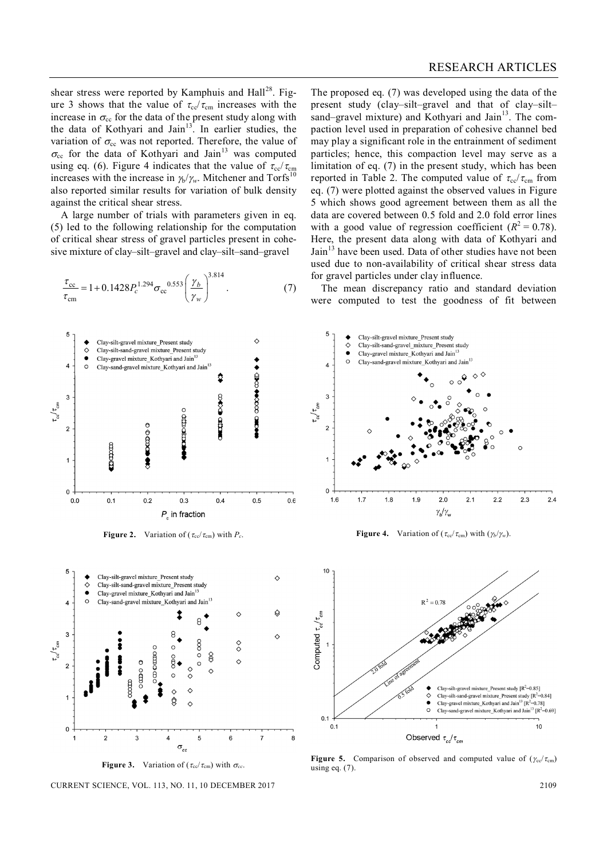shear stress were reported by Kamphuis and  $\text{Hall}^{28}$ . Figure 3 shows that the value of  $\tau_{cc}/\tau_{cm}$  increases with the increase in  $\sigma_{cc}$  for the data of the present study along with the data of Kothyari and Jain $13<sup>3</sup>$ . In earlier studies, the variation of  $\sigma_{cc}$  was not reported. Therefore, the value of  $\sigma_{cc}$  for the data of Kothyari and Jain<sup>13</sup> was computed using eq. (6). Figure 4 indicates that the value of  $\tau_{\rm cc}/\tau_{\rm cm}$ increases with the increase in  $\frac{\hbar}{\gamma_w}$ . Mitchener and Torfs<sup>10</sup> also reported similar results for variation of bulk density against the critical shear stress.

A large number of trials with parameters given in eq. (5) led to the following relationship for the computation of critical shear stress of gravel particles present in cohesive mixture of clay–silt–gravel and clay–silt–sand–gravel

$$
\frac{\tau_{\rm cc}}{\tau_{\rm cm}} = 1 + 0.1428 P_c^{1.294} \sigma_{\rm cc}^{0.553} \left(\frac{\gamma_b}{\gamma_w}\right)^{3.814}.
$$
 (7)



**Figure 2.** Variation of ( $\tau_{\rm cc}/\tau_{\rm cm}$ ) with  $P_c$ .





CURRENT SCIENCE, VOL. 113, NO. 11, 10 DECEMBER 2017 2109

The proposed eq. (7) was developed using the data of the present study (clay–silt–gravel and that of clay–silt– sand–gravel mixture) and Kothyari and Jain $^{13}$ . The compaction level used in preparation of cohesive channel bed may play a significant role in the entrainment of sediment particles; hence, this compaction level may serve as a limitation of eq. (7) in the present study, which has been reported in Table 2. The computed value of  $\tau_{\rm cc}/\tau_{\rm cm}$  from eq. (7) were plotted against the observed values in Figure 5 which shows good agreement between them as all the data are covered between 0.5 fold and 2.0 fold error lines with a good value of regression coefficient  $(R^2 = 0.78)$ . Here, the present data along with data of Kothyari and Jain<sup>13</sup> have been used. Data of other studies have not been used due to non-availability of critical shear stress data for gravel particles under clay influence.

The mean discrepancy ratio and standard deviation were computed to test the goodness of fit between



**Figure 4.** Variation of ( $\tau_{cc}/\tau_{cm}$ ) with ( $\gamma_b/\gamma_w$ ).



**Figure 5.** Comparison of observed and computed value of  $(\gamma_{\rm cc}/\tau_{\rm cm})$ using eq.  $(7)$ .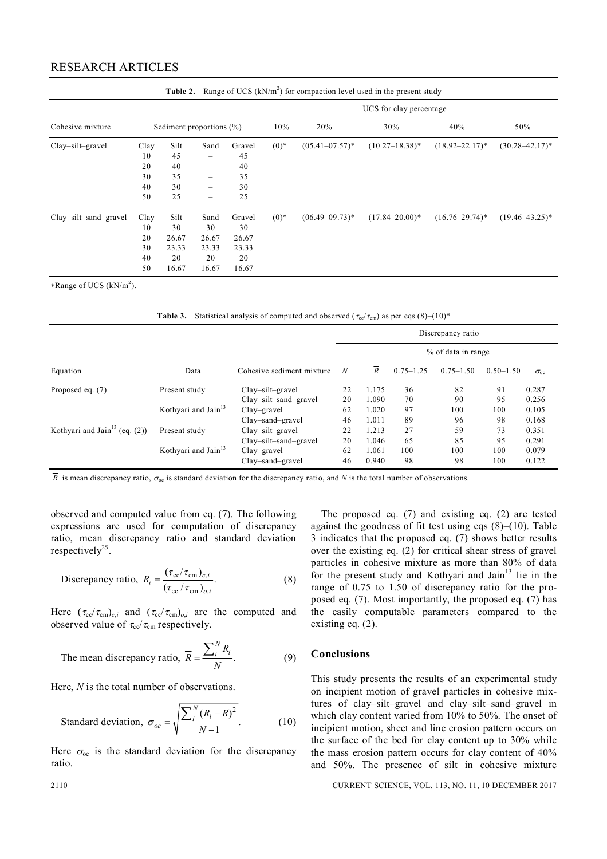## RESEARCH ARTICLES

|                       |                                    |                                             |                                             |                                               | UCS for clay percentage |                     |                     |                     |                     |  |  |  |  |
|-----------------------|------------------------------------|---------------------------------------------|---------------------------------------------|-----------------------------------------------|-------------------------|---------------------|---------------------|---------------------|---------------------|--|--|--|--|
| Cohesive mixture      | Sediment proportions $(\%)$        |                                             |                                             |                                               | 10%                     | 20%                 | 30%                 | 40%                 | 50%                 |  |  |  |  |
| Clay-silt-gravel      | Clay<br>10<br>20                   | Silt<br>45<br>40                            | Sand<br>-<br>-                              | Gravel<br>45<br>40                            | $(0)*$                  | $(05.41 - 07.57)^*$ | $(10.27 - 18.38)^*$ | $(18.92 - 22.17)^*$ | $(30.28 - 42.17)^*$ |  |  |  |  |
|                       | 30<br>40<br>50                     | 35<br>30<br>25                              | -<br>-<br>$\qquad \qquad$                   | 35<br>30<br>25                                |                         |                     |                     |                     |                     |  |  |  |  |
| Clay-silt-sand-gravel | Clay<br>10<br>20<br>30<br>40<br>50 | Silt<br>30<br>26.67<br>23.33<br>20<br>16.67 | Sand<br>30<br>26.67<br>23.33<br>20<br>16.67 | Gravel<br>30<br>26.67<br>23.33<br>20<br>16.67 | $(0)*$                  | $(06.49 - 09.73)^*$ | $(17.84 - 20.00)^*$ | $(16.76 - 29.74)^*$ | $(19.46 - 43.25)^*$ |  |  |  |  |

**Table 2.** Range of UCS (kN/m<sup>2</sup> ) for compaction level used in the present study

\*Range of UCS (kN/m<sup>2</sup>).

**Table 3.** Statistical analysis of computed and observed ( $\tau_{cc}/\tau_{cm}$ ) as per eqs (8)–(10)<sup>\*</sup>

|                                              |                                 | Cohesive sediment mixture | Discrepancy ratio |                  |                    |               |               |               |  |
|----------------------------------------------|---------------------------------|---------------------------|-------------------|------------------|--------------------|---------------|---------------|---------------|--|
|                                              |                                 |                           |                   | $\boldsymbol{R}$ | % of data in range |               |               |               |  |
| Equation                                     | Data                            |                           | N                 |                  | $0.75 - 1.25$      | $0.75 - 1.50$ | $0.50 - 1.50$ | $\sigma_{oc}$ |  |
| Proposed eq. $(7)$                           | Present study                   | $Clay-silt-gravel$        | 22                | 1.175            | 36                 | 82            | 91            | 0.287         |  |
|                                              |                                 | Clay-silt-sand-gravel     | 20                | 1.090            | 70                 | 90            | 95            | 0.256         |  |
|                                              | Kothyari and Jain <sup>13</sup> | $Clay$ -gravel            | 62                | 1.020            | 97                 | 100           | 100           | 0.105         |  |
|                                              |                                 | Clay-sand-gravel          | 46                | 1.011            | 89                 | 96            | 98            | 0.168         |  |
| Kothyari and Jain <sup>13</sup> (eq. $(2)$ ) | Present study                   | $Clay$ -silt-gravel       | 22                | 1.213            | 27                 | 59            | 73            | 0.351         |  |
|                                              |                                 | $Clay-silt-sand-gravel$   | 20                | 1.046            | 65                 | 85            | 95            | 0.291         |  |
|                                              | Kothyari and Jain <sup>13</sup> | $Clay$ -gravel            | 62                | 1.061            | 100                | 100           | 100           | 0.079         |  |
|                                              |                                 | Clay-sand-gravel          | 46                | 0.940            | 98                 | 98            | 100           | 0.122         |  |

 $\overline{R}$  is mean discrepancy ratio,  $\sigma_{oc}$  is standard deviation for the discrepancy ratio, and *N* is the total number of observations.

observed and computed value from eq. (7). The following expressions are used for computation of discrepancy ratio, mean discrepancy ratio and standard deviation respectively<sup>29</sup>.

Discrepancy ratio, 
$$
R_i = \frac{(\tau_{cc}/\tau_{cm})_{c,i}}{(\tau_{cc}/\tau_{cm})_{o,i}}
$$
. (8)

Here  $(\tau_{cc}/\tau_{cm})_{c,i}$  and  $(\tau_{cc}/\tau_{cm})_{o,i}$  are the computed and observed value of  $\tau_{\rm cc}/\tau_{\rm cm}$  respectively.

The mean discrepancy ratio, 
$$
\overline{R} = \frac{\sum_{i}^{N} R_{i}}{N}
$$
. (9)

Here, *N* is the total number of observations.

Standard deviation, 
$$
\sigma_{oc} = \sqrt{\frac{\sum_{i}^{N} (R_i - \overline{R})^2}{N - 1}}
$$
. (10)

Here  $\sigma_{oc}$  is the standard deviation for the discrepancy ratio.

The proposed eq. (7) and existing eq. (2) are tested against the goodness of fit test using eqs  $(8)$ – $(10)$ . Table 3 indicates that the proposed eq. (7) shows better results over the existing eq. (2) for critical shear stress of gravel particles in cohesive mixture as more than 80% of data for the present study and Kothyari and Jain<sup>13</sup> lie in the range of 0.75 to 1.50 of discrepancy ratio for the proposed eq. (7). Most importantly, the proposed eq. (7) has the easily computable parameters compared to the existing eq. (2).

# **Conclusions**

This study presents the results of an experimental study on incipient motion of gravel particles in cohesive mixtures of clay–silt–gravel and clay–silt–sand–gravel in which clay content varied from 10% to 50%. The onset of incipient motion, sheet and line erosion pattern occurs on the surface of the bed for clay content up to 30% while the mass erosion pattern occurs for clay content of 40% and 50%. The presence of silt in cohesive mixture

2110 CURRENT SCIENCE, VOL. 113, NO. 11, 10 DECEMBER 2017